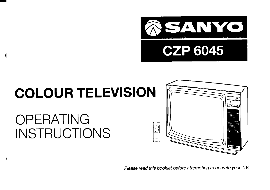



Please read this booklet before attempting to operate your T.V.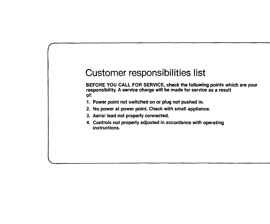# Customer responsibilities list

**BEFORE YOU CALL FOR SERVICE, check the following points which are your responsibility. A service charge will be made for service as a result Ot**

- 1. **Power point not switched on or plug not pushed in.**
- **2. No power at power point. Check with small appliance.**
- **3. Aerial lead not properly connected.**

**\**

**4. Controls not properly adjusted in accordance with operating instructions.**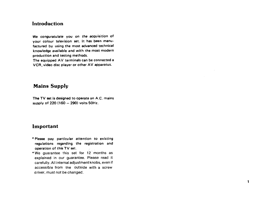# Introduction

We conguratulate you on the acquisition of vour colour television set. It has been manufactured by using the most advanced technical knowledge available and with the most modern production and testing methods.

The equipped AV terminals can be connected a VCR, video disc player or other AV apparatus.

# **Mains Supply**

The TV set is designed to operate an A.C. mains supply of 220 (160 - 290) volts 50Hz.

# Important

- \* Please pay particular attention to existing regulations regarding the registration and operation of this TV set.
- \*We guarantee this set for 12 months as explained in our guarantee. Please read it carefully. All internal adjustment knobs, even if accessible from the outside with a screw driver, must not be changed.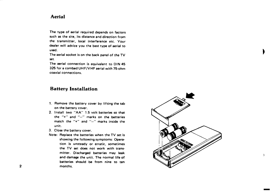# Aerial

**The type of aerial required depends on factors such as the site, its distance and direction from the transmitter, local interference etc. Your dealer will advice you the best type of aerial to used.**

**The aerial socket is on the back panel of the TV set**

**The aerial connection is equivalent to DIN 45 325 for a combed UH F/VHF aerial with 75-ohm coaxial connections.**

## Battery Installation

- **1. Remove the battery cover by lifting the tab on the battery cover.**
- **2. Install two "AA" 1.5 volt batteries so that the "+" and "-" marks on the batteries match the "+" and "-" marks inside the unit.**
- **3. Close the battery cover.**
- **Note: Replace the batteries when the TV set is showing the following symptoms: Operation is unsteady or erratic, sometimes the TV set does not work with transmitter. Discharged batteries may leak and damage the unit. The normal life of batteries should be from nine to ten months.**



1,

 $\overline{2}$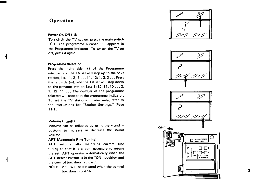## Operation

## Power On-Off ( (i) )

To switch the TV set on press the main switch (10). The programme number "1" appears in the Programme indicator. To switch the TV set off, press it again.

#### **Programme Selection**

Press the right side (+) of the Programme selector, and the TV set will step up to the next station, i.e.: 1, 2, 3 . . . 11, 12; 1, 2, 3 . . . Press the left side  $(-)$ , and the TV set will step down to the previous station i.e.:  $1$ ; 12, 11, 10...2, 1; 12, 11 . . . The number of the programme selected will appear in the programme indicator. To set the TV stations in your area, refer to the instructions for "Station Settings." (Page  $11-15$ 

#### $Volume($

Volume can be adjusted by using the  $+$  and  $$ buttons to increase or decrease the sound volume.

#### **AFT (Automatic Fine Tuning)**

AFT automatically maintains correct fine tuning so that it is seldom necessary to retune the set. AFT operates automatically when the AFT defeat button is in the "ON" position and the control box door is closed.

NOTE: AFT will be defeated when the control box door is opened.



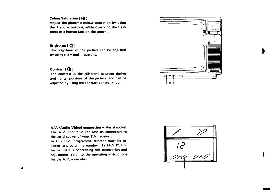## **@lour Maturation ( @ )**

**Adjust the picture's colour saturation by using the + and – buttons, while observing the flesh tones of a human face on the screen.**

## **Brightness ( ~ )**

**The brightness of the picture can be adjusted by using the+ and – buttons.**

### **Contrast ( ~ )**

**The contrast is the different between darker and lighter portions of the picture, and can be adjusted by using the contrast control knob.**



**A.V. (Audio Video)** conmction - Aerial socket **The A.V. apparatus can also be connected to the aerial socket of your T.V. receiver. In this case, programme selector must be se-**

**lected to programme number "12 (A. V.)". For further details concerning this connection and adjustment, refer to the operating instructions for the A.V. apparatus.**

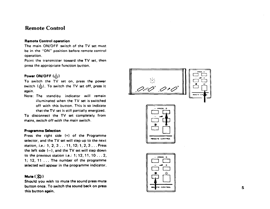# **Remote Control**

#### **Remote Control operation**

The main ON/OFF switch of the TV set must be in the "ON" position before remote control operation.

Point the transmitter toward the TV set, then press the appropriate function button.

## Power ON/OFF  $($ , $)$ )

To switch the TV set on, press the power switch  $\langle \langle \cdot | \cdot \rangle \rangle$ . To switch the TV set off, press it again.

Note: The stand-by indicator will remain illuminated when the TV set is switched off with this button. This is so indicate that the TV set is still partially energized.

To disconnect the TV set completely from mains, switch off with the main switch.

#### **Programme Selection**

Press the right side (+) of the Programme selector, and the TV set will step up to the next station, i.e.: 1, 2, 3 ... 11, 12; 1, 2, 3 ... Press the left side  $(-)$ , and the TV set will step down to the previous station i.e.:  $1$ ; 12, 11, 10...2. 1; 12, 11 . . . The number of the programme selected will appear in the programme indicator.

## Mute (XD)

Should you wish to mute the sound press mute button once. To switch the sound back on press this button again.





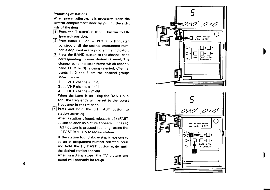#### Presetting of stations

**When preset adjustment is necessary, open the control compartment door by pulling the right side of the door.** ❑ *Press* **the TUNING PRESET button to ON**

- **[pressed) position.**
- ❑ **Press either (+) or (-) PROG. button, step by step, until the desired programme num. ber is displayed in the programme indicator.**
- ❑ **Press the BAND button to the channel band corresponding to your desired channel. The channel band indicator shows which channel band (1, 2 or 3) is being selected. Channel bands 1, 2 and 3 are the channel groups bends 1, 2** and 3 are the channel groups<br>shown below.
	- **1 . . . VHF channels 1-3**
	- **<sup>2</sup> . . . VHF channels 4-11 —**
	- **3 . . . UHF channels 2169**

**When the bend is set using the BAND button, the frequency will be set to the lowest frequency in the set band.**

❑ **press and hold the (+) FAST button to station searching.**

**When a station is found, release the(+) FAST button as soon as picture appears. IF the (+) FAST button is pressed too long, press the (–) FA.ST BUTTON to regain station.**

**If the station found above step is not one to be set at programme number selected, press and hold the (+) FAST button again until the desired station appears.**

**When searching stops, the TV picture and sound will probably be rough.**



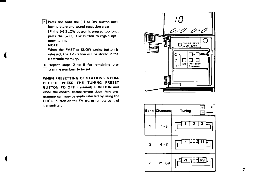5 Press and hold the (+) SLOW button until both picture and sound reception clear.

IF the (+) SLOW button is pressed too long, press the (-) SLOW button to regain optimum tuning.

NOTE:

When the FAST or SLOW tuning button is released, the TV station will be stored in the electronic memory.

6 Repeat steps 2 to 5 for remaining programme numbers to be set.

WHEN PRESETTING OF STATIONS IS COM-PLETED. PRESS THE TUNING PRESET BUTTON TO OFF (released) POSITION and close the control compartment door. Any programme can now be easily selected by using the PROG, button on the TV set, or remote control transmitter.



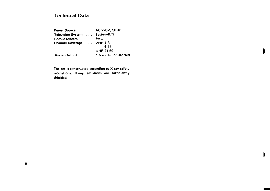# Technical Data

**Power %urce . . . AC 220V, 50Hz Television System . . . Systam-BIG Colour System . . . . . PAL Channel Coverage . . . VHF 1-3 4-11 IJHF 21-69 Audio Outmst . . . . . . 1.5 watts undistorted**

**The set is constructed according to X-ray safety regulations. X-ray emissions are sufficiently shielded.**

 $\lambda$